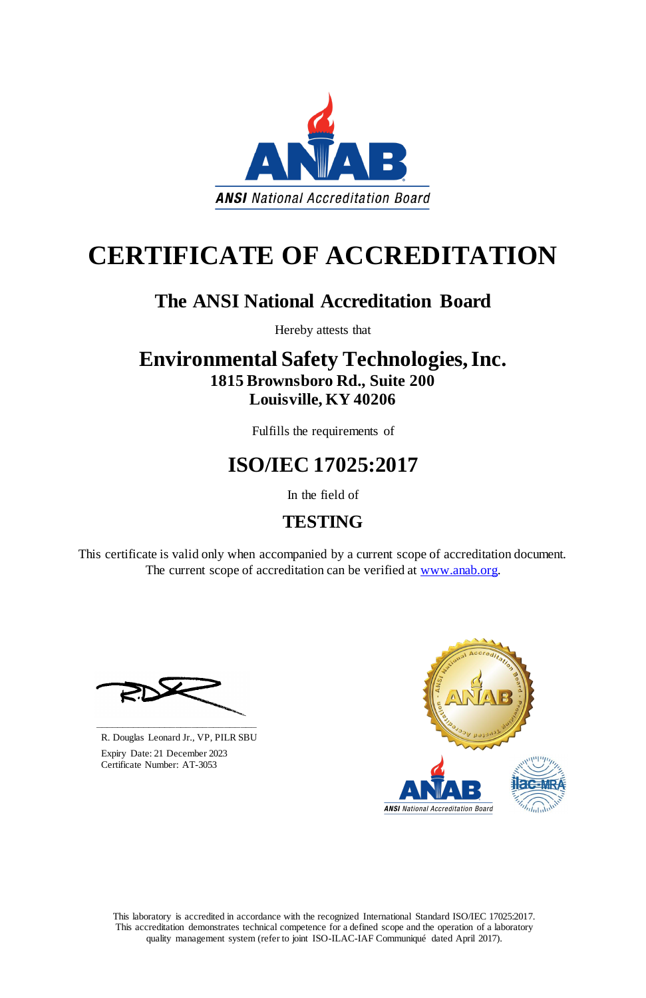This laboratory is accredited in accordance with the recognized International Standard ISO/IEC 17025:2017. This accreditation demonstrates technical competence for a defined scope and the operation of a laboratory quality management system (refer to joint ISO-ILAC-IAF Communiqué dated April 2017).

This certificate is valid only when accompanied by a current scope of accreditation document. The current scope of accreditation can be verified at [www.anab.org.](http://www.anab.org/)



# **CERTIFICATE OF ACCREDITATION**

### **The ANSI National Accreditation Board**

Hereby attests that

### **Environmental Safety Technologies, Inc. 1815 Brownsboro Rd., Suite 200 Louisville, KY 40206**

Fulfills the requirements of

## **ISO/IEC 17025:2017**

In the field of

### **TESTING**





R. Douglas Leonard Jr., VP, PILR SBU

 Expiry Date: 21 December 2023 Certificate Number: AT-3053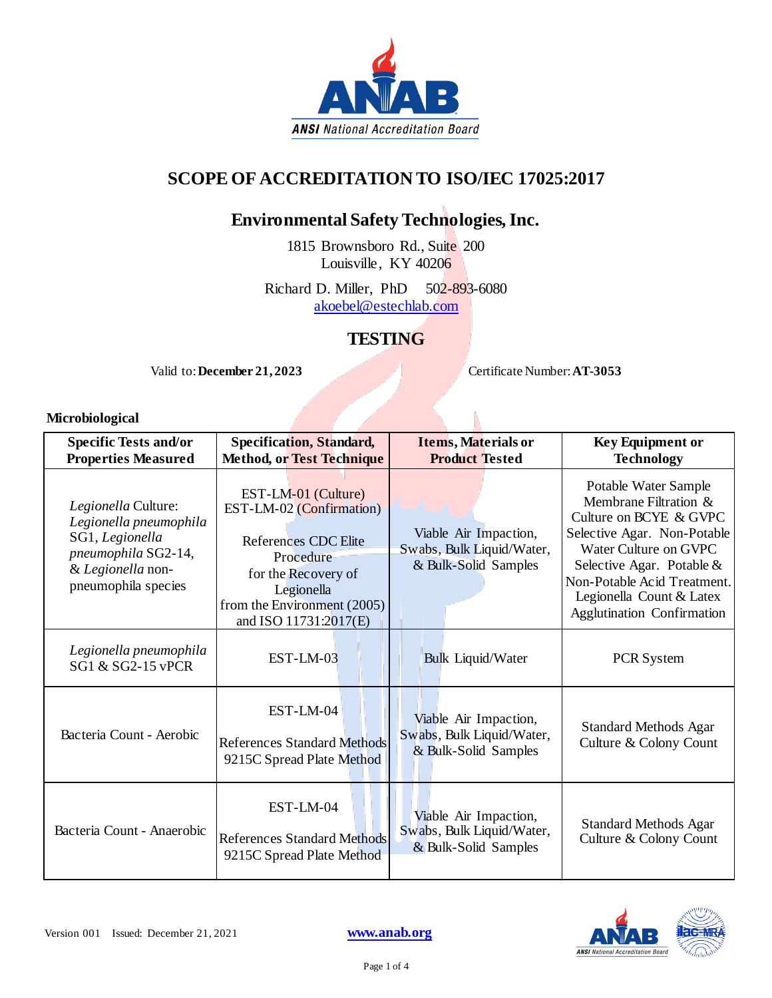

#### **SCOPE OF ACCREDITATION TO ISO/IEC 17025:2017**

#### **Environmental Safety Technologies, Inc.**

1815 Brownsboro Rd., Suite 200 Louisville, KY 40206

Richard D. Miller, PhD 502-893-6080 [akoebel@estechlab.com](mailto:akoebel@estechlab.com)

#### **TESTING**

Valid to: December 21, 2023<br>
Certificate Number: **AT-3053** 

#### **Microbiological**

| <b>Specific Tests and/or</b><br><b>Properties Measured</b>                                                                          | <b>Specification, Standard,</b><br><b>Method, or Test Technique</b>                                                                                                               | Items, Materials or<br><b>Product Tested</b>                               | <b>Key Equipment or</b><br><b>Technology</b>                                                                                                                                                                                                                   |
|-------------------------------------------------------------------------------------------------------------------------------------|-----------------------------------------------------------------------------------------------------------------------------------------------------------------------------------|----------------------------------------------------------------------------|----------------------------------------------------------------------------------------------------------------------------------------------------------------------------------------------------------------------------------------------------------------|
| Legionella Culture:<br>Legionella pneumophila<br>SG1, Legionella<br>pneumophila SG2-14,<br>& Legionella non-<br>pneumophila species | EST-LM-01 (Culture)<br>EST-LM-02 (Confirmation)<br>References CDC Elite<br>Procedure<br>for the Recovery of<br>Legionella<br>from the Environment (2005)<br>and ISO 11731:2017(E) | Viable Air Impaction,<br>Swabs, Bulk Liquid/Water,<br>& Bulk-Solid Samples | Potable Water Sample<br>Membrane Filtration &<br>Culture on BCYE & GVPC<br>Selective Agar. Non-Potable<br>Water Culture on GVPC<br>Selective Agar. Potable $&$<br>Non-Potable Acid Treatment.<br>Legionella Count & Latex<br><b>Agglutination Confirmation</b> |
| Legionella pneumophila<br>SG1 & SG2-15 vPCR                                                                                         | EST-LM-03                                                                                                                                                                         | <b>Bulk Liquid/Water</b>                                                   | <b>PCR</b> System                                                                                                                                                                                                                                              |
| Bacteria Count - Aerobic                                                                                                            | EST-LM-04<br><b>References Standard Methods</b><br>9215C Spread Plate Method                                                                                                      | Viable Air Impaction,<br>Swabs, Bulk Liquid/Water,<br>& Bulk-Solid Samples | <b>Standard Methods Agar</b><br>Culture & Colony Count                                                                                                                                                                                                         |
| Bacteria Count - Anaerobic                                                                                                          | EST-LM-04<br><b>References Standard Methods</b><br>9215C Spread Plate Method                                                                                                      | Viable Air Impaction,<br>Swabs, Bulk Liquid/Water,<br>& Bulk-Solid Samples | <b>Standard Methods Agar</b><br>Culture & Colony Count                                                                                                                                                                                                         |

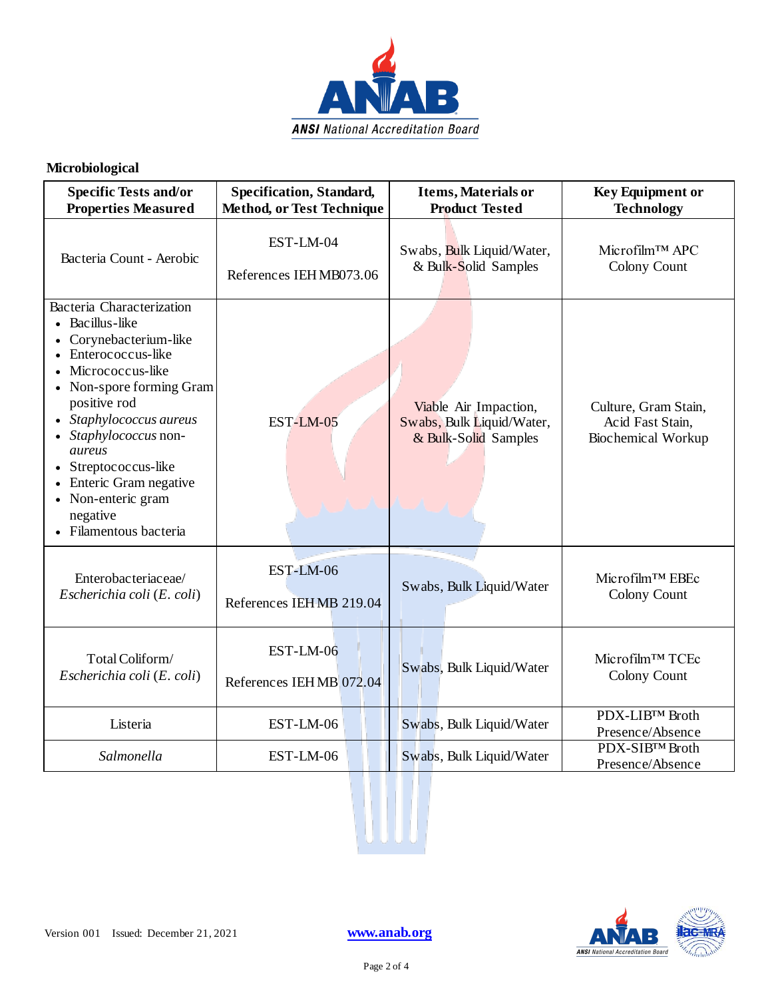

#### **Microbiological**

| <b>Specific Tests and/or</b>                                                                                                                                                                                                                                                                                                                  | Specification, Standard,         | Items, Materials or                                                        | <b>Key Equipment or</b>                                        |
|-----------------------------------------------------------------------------------------------------------------------------------------------------------------------------------------------------------------------------------------------------------------------------------------------------------------------------------------------|----------------------------------|----------------------------------------------------------------------------|----------------------------------------------------------------|
| <b>Properties Measured</b>                                                                                                                                                                                                                                                                                                                    | <b>Method, or Test Technique</b> | <b>Product Tested</b>                                                      | <b>Technology</b>                                              |
| Bacteria Count - Aerobic                                                                                                                                                                                                                                                                                                                      | EST-LM-04                        | Swabs, Bulk Liquid/Water,                                                  | Microfilm™ APC                                                 |
|                                                                                                                                                                                                                                                                                                                                               | References IEHMB073.06           | & Bulk-Solid Samples                                                       | Colony Count                                                   |
| Bacteria Characterization<br>• Bacillus-like<br>• Corynebacterium-like<br>• Enterococcus-like<br>Micrococcus-like<br>$\bullet$<br>• Non-spore forming Gram<br>positive rod<br>Staphylococcus aureus<br>Staphylococcus non-<br>aureus<br>Streptococcus-like<br>Enteric Gram negative<br>• Non-enteric gram<br>negative<br>Filamentous bacteria | EST-LM-05                        | Viable Air Impaction,<br>Swabs, Bulk Liquid/Water,<br>& Bulk-Solid Samples | Culture, Gram Stain,<br>Acid Fast Stain,<br>Biochemical Workup |
| Enterobacteriaceae/                                                                                                                                                                                                                                                                                                                           | EST-LM-06                        | Swabs, Bulk Liquid/Water                                                   | Microfilm™ EBEc                                                |
| Escherichia coli (E. coli)                                                                                                                                                                                                                                                                                                                    | References IEHMB 219.04          |                                                                            | Colony Count                                                   |
| Total Coliform/                                                                                                                                                                                                                                                                                                                               | EST-LM-06                        | Swabs, Bulk Liquid/Water                                                   | Microfilm™ TCEc                                                |
| Escherichia coli (E. coli)                                                                                                                                                                                                                                                                                                                    | References IEHMB 072.04          |                                                                            | Colony Count                                                   |
| Listeria                                                                                                                                                                                                                                                                                                                                      | EST-LM-06                        | Swabs, Bulk Liquid/Water                                                   | PDX-LIB™ Broth<br>Presence/Absence                             |
| Salmonella                                                                                                                                                                                                                                                                                                                                    | EST-LM-06                        | Swabs, Bulk Liquid/Water                                                   | PDX-SIBTM Broth<br>Presence/Absence                            |

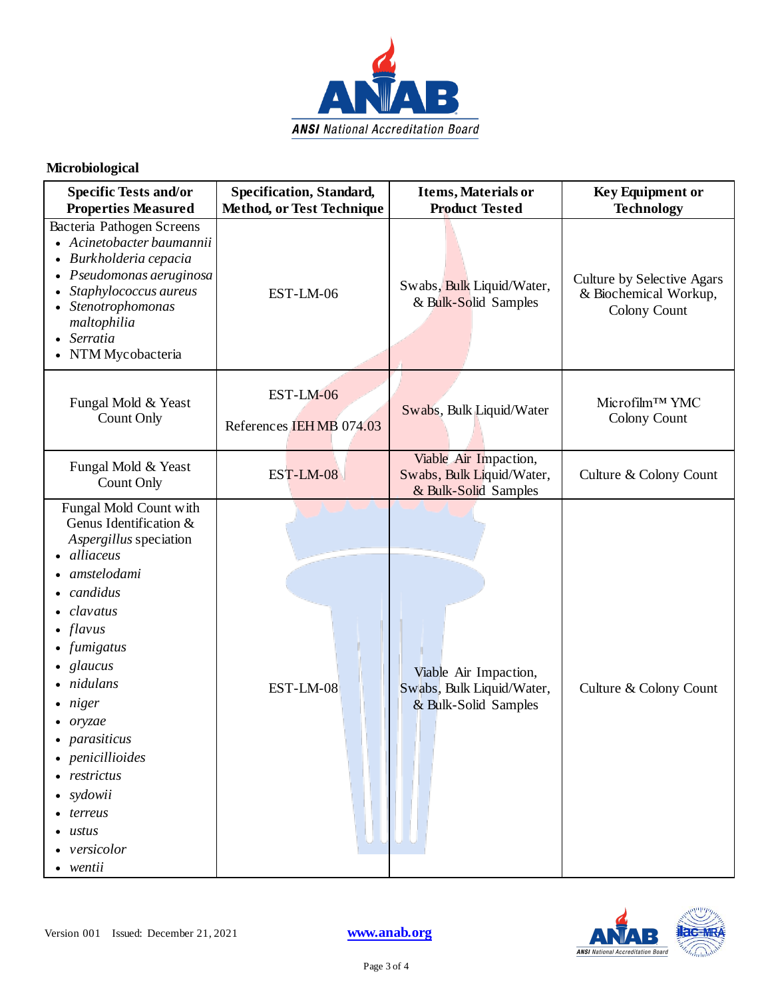

#### **Microbiological**

| <b>Specific Tests and/or</b><br><b>Properties Measured</b>                                                                                                                                                                                                                                                                  | Specification, Standard,<br><b>Method, or Test Technique</b> | <b>Items, Materials or</b><br><b>Product Tested</b>                        | <b>Key Equipment or</b><br><b>Technology</b>                        |
|-----------------------------------------------------------------------------------------------------------------------------------------------------------------------------------------------------------------------------------------------------------------------------------------------------------------------------|--------------------------------------------------------------|----------------------------------------------------------------------------|---------------------------------------------------------------------|
| Bacteria Pathogen Screens<br>• Acinetobacter baumannii<br>• Burkholderia cepacia<br>Pseudomonas aeruginosa<br>$\bullet$<br>Staphylococcus aureus<br>$\bullet$<br>Stenotrophomonas<br>maltophilia<br>Serratia<br>NTM Mycobacteria                                                                                            | EST-LM-06                                                    | Swabs, Bulk Liquid/Water,<br>& Bulk-Solid Samples                          | Culture by Selective Agars<br>& Biochemical Workup,<br>Colony Count |
| Fungal Mold & Yeast<br>Count Only                                                                                                                                                                                                                                                                                           | EST-LM-06<br>References IEHMB 074.03                         | Swabs, Bulk Liquid/Water                                                   | Microfilm™ YMC<br>Colony Count                                      |
| Fungal Mold & Yeast<br>Count Only                                                                                                                                                                                                                                                                                           | EST-LM-08                                                    | Viable Air Impaction,<br>Swabs, Bulk Liquid/Water,<br>& Bulk-Solid Samples | Culture & Colony Count                                              |
| Fungal Mold Count with<br>Genus Identification &<br>Aspergillus speciation<br>alliaceus<br>amstelodami<br>candidus<br>clavatus<br>flavus<br>fumigatus<br>glaucus<br>nidulans<br>$\bullet$ niger<br>• oryzae<br>• parasiticus<br>• penicillioides<br>restrictus<br>• sydowii<br>terreus<br>ustus<br>• versicolor<br>• wentii | EST-LM-08                                                    | Viable Air Impaction,<br>Swabs, Bulk Liquid/Water,<br>& Bulk-Solid Samples | Culture & Colony Count                                              |